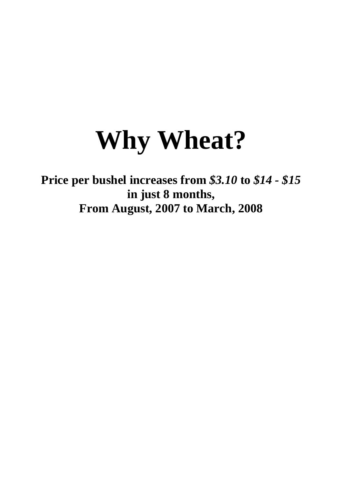# **Why Wheat?**

**Price per bushel increases from** *\$3.10* **to** *\$14 - \$15* **in just 8 months, From August, 2007 to March, 2008**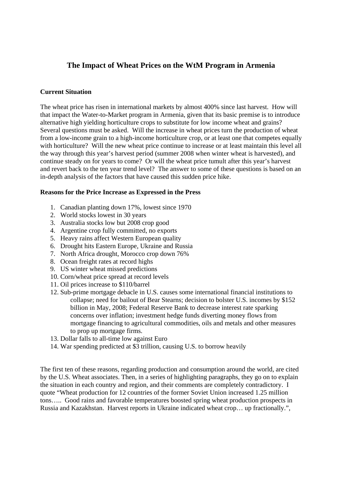### **The Impact of Wheat Prices on the WtM Program in Armenia**

#### **Current Situation**

The wheat price has risen in international markets by almost 400% since last harvest. How will that impact the Water-to-Market program in Armenia, given that its basic premise is to introduce alternative high yielding horticulture crops to substitute for low income wheat and grains? Several questions must be asked. Will the increase in wheat prices turn the production of wheat from a low-income grain to a high-income horticulture crop, or at least one that competes equally with horticulture? Will the new wheat price continue to increase or at least maintain this level all the way through this year's harvest period (summer 2008 when winter wheat is harvested), and continue steady on for years to come? Or will the wheat price tumult after this year's harvest and revert back to the ten year trend level? The answer to some of these questions is based on an in-depth analysis of the factors that have caused this sudden price hike.

#### **Reasons for the Price Increase as Expressed in the Press**

- 1. Canadian planting down 17%, lowest since 1970
- 2. World stocks lowest in 30 years
- 3. Australia stocks low but 2008 crop good
- 4. Argentine crop fully committed, no exports
- 5. Heavy rains affect Western European quality
- 6. Drought hits Eastern Europe, Ukraine and Russia
- 7. North Africa drought, Morocco crop down 76%
- 8. Ocean freight rates at record highs
- 9. US winter wheat missed predictions
- 10. Corn/wheat price spread at record levels
- 11. Oil prices increase to \$110/barrel
- 12. Sub-prime mortgage debacle in U.S. causes some international financial institutions to collapse; need for bailout of Bear Stearns; decision to bolster U.S. incomes by \$152 billion in May, 2008; Federal Reserve Bank to decrease interest rate sparking concerns over inflation; investment hedge funds diverting money flows from mortgage financing to agricultural commodities, oils and metals and other measures to prop up mortgage firms.
- 13. Dollar falls to all-time low against Euro
- 14. War spending predicted at \$3 trillion, causing U.S. to borrow heavily

The first ten of these reasons, regarding production and consumption around the world, are cited by the U.S. Wheat associates. Then, in a series of highlighting paragraphs, they go on to explain the situation in each country and region, and their comments are completely contradictory. I quote "Wheat production for 12 countries of the former Soviet Union increased 1.25 million tons….. Good rains and favorable temperatures boosted spring wheat production prospects in Russia and Kazakhstan. Harvest reports in Ukraine indicated wheat crop… up fractionally.",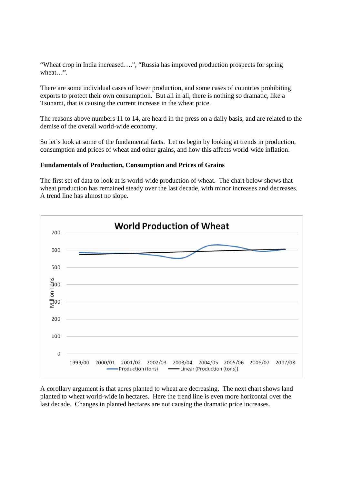"Wheat crop in India increased….", "Russia has improved production prospects for spring wheat…".

There are some individual cases of lower production, and some cases of countries prohibiting exports to protect their own consumption. But all in all, there is nothing so dramatic, like a Tsunami, that is causing the current increase in the wheat price.

The reasons above numbers 11 to 14, are heard in the press on a daily basis, and are related to the demise of the overall world-wide economy.

So let's look at some of the fundamental facts. Let us begin by looking at trends in production, consumption and prices of wheat and other grains, and how this affects world-wide inflation.

#### **Fundamentals of Production, Consumption and Prices of Grains**

The first set of data to look at is world-wide production of wheat. The chart below shows that wheat production has remained steady over the last decade, with minor increases and decreases. A trend line has almost no slope.



A corollary argument is that acres planted to wheat are decreasing. The next chart shows land planted to wheat world-wide in hectares. Here the trend line is even more horizontal over the last decade. Changes in planted hectares are not causing the dramatic price increases.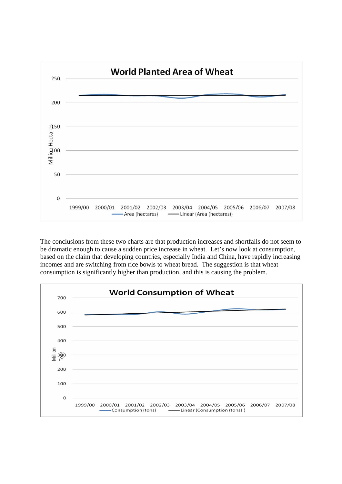

The conclusions from these two charts are that production increases and shortfalls do not seem to be dramatic enough to cause a sudden price increase in wheat. Let's now look at consumption, based on the claim that developing countries, especially India and China, have rapidly increasing incomes and are switching from rice bowls to wheat bread. The suggestion is that wheat consumption is significantly higher than production, and this is causing the problem.

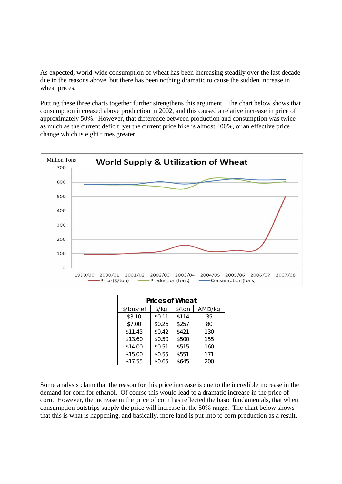As expected, world-wide consumption of wheat has been increasing steadily over the last decade due to the reasons above, but there has been nothing dramatic to cause the sudden increase in wheat prices.

Putting these three charts together further strengthens this argument. The chart below shows that consumption increased above production in 2002, and this caused a relative increase in price of approximately 50%. However, that difference between production and consumption was twice as much as the current deficit, yet the current price hike is almost 400%, or an effective price change which is eight times greater.



| <b>Prices of Wheat</b> |                      |        |        |  |  |  |  |  |
|------------------------|----------------------|--------|--------|--|--|--|--|--|
| \$/bushel              | $\frac{\sqrt{2}}{2}$ | \$/ton | AMD/kg |  |  |  |  |  |
| \$3.10                 | \$0.11               | \$114  | 35     |  |  |  |  |  |
| \$7.00                 | \$0.26               | \$257  | 80     |  |  |  |  |  |
| \$11.45                | \$0.42               | \$421  | 130    |  |  |  |  |  |
| \$13.60                | \$0.50               | \$500  | 155    |  |  |  |  |  |
| \$14.00                | \$0.51               | \$515  | 160    |  |  |  |  |  |
| \$15.00                | \$0.55               | \$551  | 171    |  |  |  |  |  |
| \$17.55                | \$0.65               | \$645  | 200    |  |  |  |  |  |

Some analysts claim that the reason for this price increase is due to the incredible increase in the demand for corn for ethanol. Of course this would lead to a dramatic increase in the price of corn. However, the increase in the price of corn has reflected the basic fundamentals, that when consumption outstrips supply the price will increase in the 50% range. The chart below shows that this is what is happening, and basically, more land is put into to corn production as a result.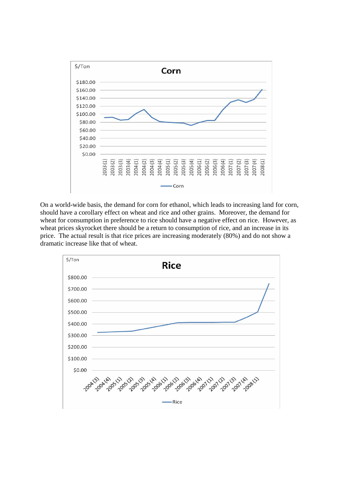

On a world-wide basis, the demand for corn for ethanol, which leads to increasing land for corn, should have a corollary effect on wheat and rice and other grains. Moreover, the demand for wheat for consumption in preference to rice should have a negative effect on rice. However, as wheat prices skyrocket there should be a return to consumption of rice, and an increase in its price. The actual result is that rice prices are increasing moderately (80%) and do not show a dramatic increase like that of wheat.

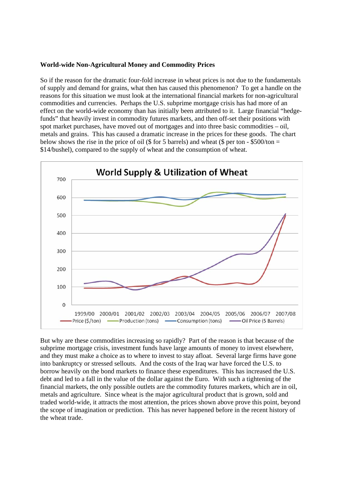#### **World-wide Non-Agricultural Money and Commodity Prices**

So if the reason for the dramatic four-fold increase in wheat prices is not due to the fundamentals of supply and demand for grains, what then has caused this phenomenon? To get a handle on the reasons for this situation we must look at the international financial markets for non-agricultural commodities and currencies. Perhaps the U.S. subprime mortgage crisis has had more of an effect on the world-wide economy than has initially been attributed to it. Large financial "hedgefunds" that heavily invest in commodity futures markets, and then off-set their positions with spot market purchases, have moved out of mortgages and into three basic commodities – oil, metals and grains. This has caused a dramatic increase in the prices for these goods. The chart below shows the rise in the price of oil (\$ for 5 barrels) and wheat (\$ per ton  $-$  \$500/ton = \$14/bushel), compared to the supply of wheat and the consumption of wheat.



But why are these commodities increasing so rapidly? Part of the reason is that because of the subprime mortgage crisis, investment funds have large amounts of money to invest elsewhere, and they must make a choice as to where to invest to stay afloat. Several large firms have gone into bankruptcy or stressed sellouts. And the costs of the Iraq war have forced the U.S. to borrow heavily on the bond markets to finance these expenditures. This has increased the U.S. debt and led to a fall in the value of the dollar against the Euro. With such a tightening of the financial markets, the only possible outlets are the commodity futures markets, which are in oil, metals and agriculture. Since wheat is the major agricultural product that is grown, sold and traded world-wide, it attracts the most attention, the prices shown above prove this point, beyond the scope of imagination or prediction. This has never happened before in the recent history of the wheat trade.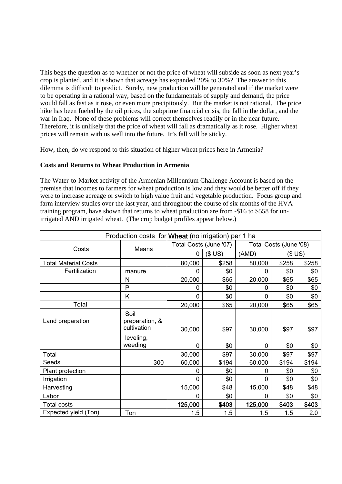This begs the question as to whether or not the price of wheat will subside as soon as next year's crop is planted, and it is shown that acreage has expanded 20% to 30%? The answer to this dilemma is difficult to predict. Surely, new production will be generated and if the market were to be operating in a rational way, based on the fundamentals of supply and demand, the price would fall as fast as it rose, or even more precipitously. But the market is not rational. The price hike has been fueled by the oil prices, the subprime financial crisis, the fall in the dollar, and the war in Iraq. None of these problems will correct themselves readily or in the near future. Therefore, it is unlikely that the price of wheat will fall as dramatically as it rose. Higher wheat prices will remain with us well into the future. It's fall will be sticky.

How, then, do we respond to this situation of higher wheat prices here in Armenia?

#### **Costs and Returns to Wheat Production in Armenia**

The Water-to-Market activity of the Armenian Millennium Challenge Account is based on the premise that incomes to farmers for wheat production is low and they would be better off if they were to increase acreage or switch to high value fruit and vegetable production. Focus group and farm interview studies over the last year, and throughout the course of six months of the HVA training program, have shown that returns to wheat production are from -\$16 to \$558 for unirrigated AND irrigated wheat. (The crop budget profiles appear below.)

| Production costs for Wheat (no irrigation) per 1 ha |                                       |             |                        |                        |       |       |  |  |
|-----------------------------------------------------|---------------------------------------|-------------|------------------------|------------------------|-------|-------|--|--|
| Costs                                               | Means                                 |             | Total Costs (June '07) | Total Costs (June '08) |       |       |  |  |
|                                                     |                                       | 0           | \$US)                  | (AMD)                  |       | \$US) |  |  |
| <b>Total Material Costs</b>                         |                                       | 80,000      | \$258                  | 80,000                 | \$258 | \$258 |  |  |
| Fertilization                                       | manure                                | 0           | \$0                    | 0                      | \$0   | \$0   |  |  |
|                                                     | N                                     | 20,000      | \$65                   | 20,000                 | \$65  | \$65  |  |  |
|                                                     | P                                     | 0           | \$0                    | 0                      | \$0   | \$0   |  |  |
|                                                     | Κ                                     | 0           | \$0                    | 0                      | \$0   | \$0   |  |  |
| Total                                               |                                       | 20,000      | \$65                   | 20,000                 | \$65  | \$65  |  |  |
| Land preparation                                    | Soil<br>preparation, &<br>cultivation | 30,000      | \$97                   | 30,000                 | \$97  | \$97  |  |  |
|                                                     | leveling,<br>weeding                  | 0           | \$0                    | 0                      | \$0   | \$0   |  |  |
| Total                                               |                                       | 30,000      | \$97                   | 30,000                 | \$97  | \$97  |  |  |
| Seeds                                               | 300                                   | 60,000      | \$194                  | 60,000                 | \$194 | \$194 |  |  |
| Plant protection                                    |                                       | 0           | \$0                    | 0                      | \$0   | \$0   |  |  |
| Irrigation                                          |                                       | $\mathbf 0$ | \$0                    | $\mathbf 0$            | \$0   | \$0   |  |  |
| Harvesting                                          |                                       | 15,000      | \$48                   | 15,000                 | \$48  | \$48  |  |  |
| Labor                                               |                                       | $\Omega$    | \$0                    | 0                      | \$0   | \$0   |  |  |
| <b>Total costs</b>                                  |                                       | 125,000     | \$403                  | 125,000                | \$403 | \$403 |  |  |
| Expected yield (Ton)                                | Ton                                   | 1.5         | 1.5                    | 1.5                    | 1.5   | 2.0   |  |  |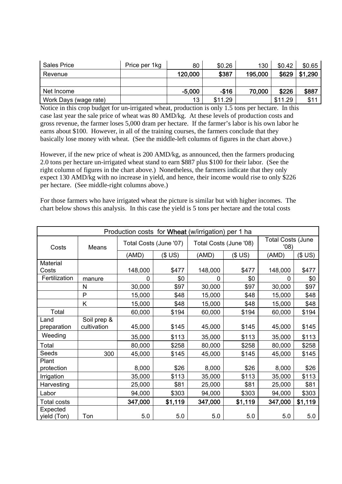| Sales Price           | Price per 1kg | 80       | \$0.26  | 130     | \$0.42  | \$0.65      |
|-----------------------|---------------|----------|---------|---------|---------|-------------|
| Revenue               |               | 120,000  | \$387   | 195,000 | \$629   | ,290<br>\$1 |
|                       |               |          |         |         |         |             |
| Net Income            |               | $-5,000$ | $-$16$  | 70,000  | \$226   | \$887       |
| Work Days (wage rate) |               | 13       | \$11.29 |         | \$11.29 | \$11        |

Notice in this crop budget for un-irrigated wheat, production is only 1.5 tons per hectare. In this case last year the sale price of wheat was 80 AMD/kg. At these levels of production costs and gross revenue, the farmer loses 5,000 dram per hectare. If the farmer's labor is his own labor he earns about \$100. However, in all of the training courses, the farmers conclude that they basically lose money with wheat. (See the middle-left columns of figures in the chart above.)

However, if the new price of wheat is 200 AMD/kg, as announced, then the farmers producing 2.0 tons per hectare un-irrigated wheat stand to earn \$887 plus \$100 for their labor. (See the right column of figures in the chart above.) Nonetheless, the farmers indicate that they only expect 130 AMD/kg with no increase in yield, and hence, their income would rise to only \$226 per hectare. (See middle-right columns above.)

For those farmers who have irrigated wheat the picture is similar but with higher incomes. The chart below shows this analysis. In this case the yield is 5 tons per hectare and the total costs

| Production costs for Wheat (w/irrigation) per 1 ha |              |                        |         |         |                        |                                  |         |  |
|----------------------------------------------------|--------------|------------------------|---------|---------|------------------------|----------------------------------|---------|--|
| Costs                                              | Means        | Total Costs (June '07) |         |         | Total Costs (June '08) | <b>Total Costs (June</b><br>'08) |         |  |
|                                                    |              | (AMD)                  | (\$US)  | (AMD)   | \$US)                  | (AMD)                            | \$US)   |  |
| Material                                           |              |                        |         |         |                        |                                  |         |  |
| Costs                                              |              | 148,000                | \$477   | 148,000 | \$477                  | 148,000                          | \$477   |  |
| Fertilization                                      | manure       | 0                      | \$0     | 0       | \$0                    | 0                                | \$0     |  |
|                                                    | $\mathsf{N}$ | 30,000                 | \$97    | 30,000  | \$97                   | 30,000                           | \$97    |  |
|                                                    | $\mathsf{P}$ | 15,000                 | \$48    | 15,000  | \$48                   | 15,000                           | \$48    |  |
|                                                    | Κ            | 15,000                 | \$48    | 15,000  | \$48                   | 15,000                           | \$48    |  |
| Total                                              |              | 60,000                 | \$194   | 60,000  | \$194                  | 60,000                           | \$194   |  |
| Land                                               | Soil prep &  |                        |         |         |                        |                                  |         |  |
| preparation                                        | cultivation  | 45,000                 | \$145   | 45,000  | \$145                  | 45,000                           | \$145   |  |
| Weeding                                            |              | 35,000                 | \$113   | 35,000  | \$113                  | 35,000                           | \$113   |  |
| Total                                              |              | 80,000                 | \$258   | 80,000  | \$258                  | 80,000                           | \$258   |  |
| Seeds                                              | 300          | 45,000                 | \$145   | 45,000  | \$145                  | 45,000                           | \$145   |  |
| Plant                                              |              |                        |         |         |                        |                                  |         |  |
| protection                                         |              | 8,000                  | \$26    | 8,000   | \$26                   | 8,000                            | \$26    |  |
| Irrigation                                         |              | 35,000                 | \$113   | 35,000  | \$113                  | 35,000                           | \$113   |  |
| Harvesting                                         |              | 25,000                 | \$81    | 25,000  | \$81                   | 25,000                           | \$81    |  |
| Labor                                              |              | 94,000                 | \$303   | 94,000  | \$303                  | 94,000                           | \$303   |  |
| <b>Total costs</b>                                 |              | 347,000                | \$1,119 | 347,000 | \$1,119                | 347,000                          | \$1,119 |  |
| Expected                                           |              |                        |         |         |                        |                                  |         |  |
| yield (Ton)                                        | Ton          | 5.0                    | 5.0     | 5.0     | 5.0                    | 5.0                              | 5.0     |  |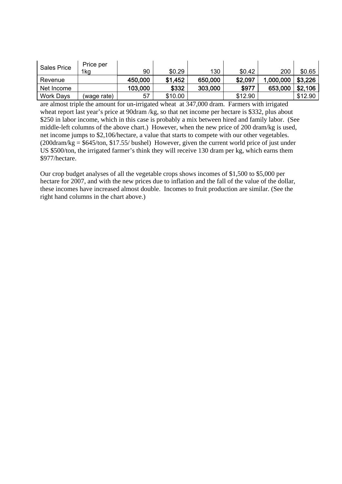| <b>Sales Price</b> | Price per<br>1kg | 90      | \$0.29  | 130     | \$0.42  | 200       | \$0.65  |
|--------------------|------------------|---------|---------|---------|---------|-----------|---------|
|                    |                  |         |         |         |         |           |         |
| Revenue            |                  | 450,000 | \$1,452 | 650,000 | \$2,097 | 1,000,000 | \$3,226 |
| Net Income         |                  | 103,000 | \$332   | 303,000 | \$977   | 653,000   | \$2,106 |
| <b>Work Days</b>   | (waqe rate)      | 57      | \$10.00 |         | \$12.90 |           | \$12.90 |

are almost triple the amount for un-irrigated wheat at 347,000 dram. Farmers with irrigated wheat report last year's price at 90dram /kg, so that net income per hectare is \$332, plus about \$250 in labor income, which in this case is probably a mix between hired and family labor. (See middle-left columns of the above chart.) However, when the new price of 200 dram/kg is used, net income jumps to \$2,106/hectare, a value that starts to compete with our other vegetables.  $(200 \text{dram/kg} = $645/\text{ton}, $17.55/\text{bushel})$  However, given the current world price of just under US \$500/ton, the irrigated farmer's think they will receive 130 dram per kg, which earns them \$977/hectare.

Our crop budget analyses of all the vegetable crops shows incomes of \$1,500 to \$5,000 per hectare for 2007, and with the new prices due to inflation and the fall of the value of the dollar, these incomes have increased almost double. Incomes to fruit production are similar. (See the right hand columns in the chart above.)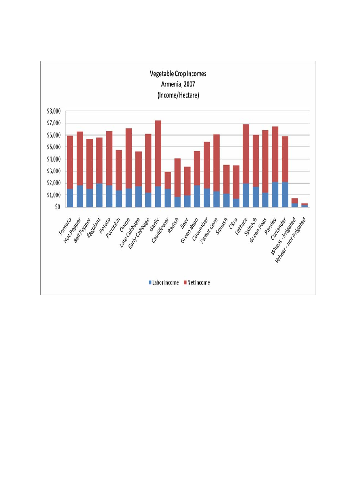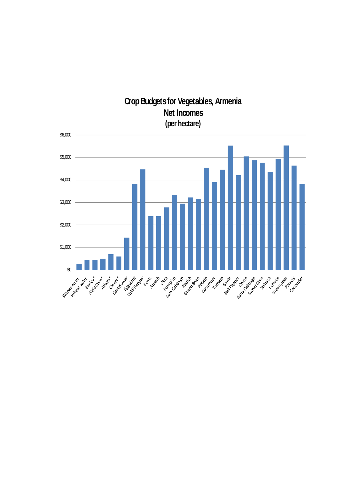## **Crop Budgets for Vegetables, Armenia Net Incomes (per hectare)**

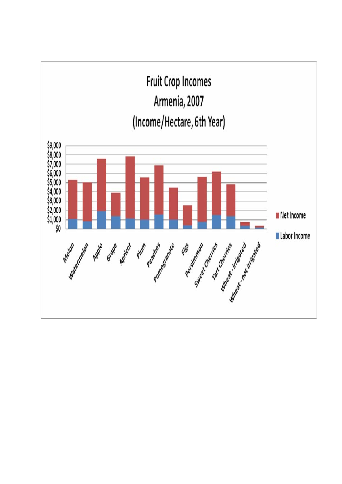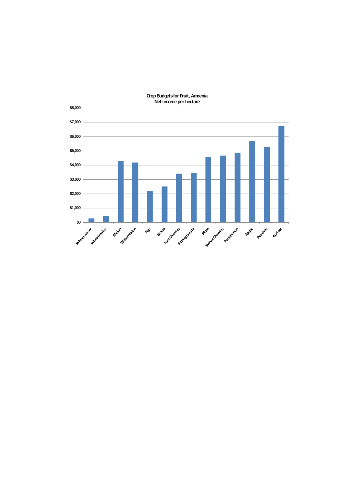

**Crop Budgets for Fruit, Armenia Net Income per hectare**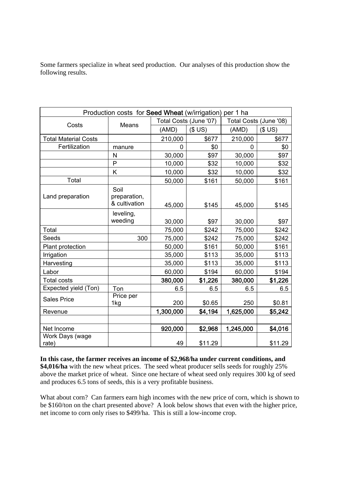Some farmers specialize in wheat seed production. Our analyses of this production show the following results.

| Production costs for <b>Seed Wheat</b> (w/irrigation) per 1 ha |                                       |           |                        |                        |         |  |  |  |
|----------------------------------------------------------------|---------------------------------------|-----------|------------------------|------------------------|---------|--|--|--|
|                                                                | <b>Means</b>                          |           | Total Costs (June '07) | Total Costs (June '08) |         |  |  |  |
| Costs                                                          |                                       | (AMD)     | \$US)                  | (AMD)                  | \$US)   |  |  |  |
| <b>Total Material Costs</b>                                    |                                       | 210,000   | \$677                  | 210,000                | \$677   |  |  |  |
| Fertilization                                                  | manure                                | 0         | \$0                    | 0                      | \$0     |  |  |  |
|                                                                | N                                     | 30,000    | \$97                   | 30,000                 | \$97    |  |  |  |
|                                                                | P                                     | 10,000    | \$32                   | 10,000                 | \$32    |  |  |  |
|                                                                | Κ                                     | 10,000    | \$32                   | 10,000                 | \$32    |  |  |  |
| Total                                                          |                                       | 50,000    | \$161                  | 50,000                 | \$161   |  |  |  |
| Land preparation                                               | Soil<br>preparation,<br>& cultivation | 45,000    | \$145                  | 45,000                 | \$145   |  |  |  |
|                                                                | leveling,<br>weeding                  | 30,000    | \$97                   | 30,000                 | \$97    |  |  |  |
| Total                                                          |                                       | 75,000    | \$242                  | 75,000                 | \$242   |  |  |  |
| Seeds                                                          | 300                                   | 75,000    | \$242                  | 75,000                 | \$242   |  |  |  |
| Plant protection                                               |                                       | 50,000    | \$161                  | 50,000                 | \$161   |  |  |  |
| Irrigation                                                     |                                       | 35,000    | \$113                  | 35,000                 | \$113   |  |  |  |
| Harvesting                                                     |                                       | 35,000    | \$113                  | 35,000                 | \$113   |  |  |  |
| Labor                                                          |                                       | 60,000    | \$194                  | 60,000                 | \$194   |  |  |  |
| <b>Total costs</b>                                             |                                       | 380,000   | \$1,226                | 380,000                | \$1,226 |  |  |  |
| Expected yield (Ton)                                           | Ton                                   | 6.5       | 6.5                    | 6.5                    | 6.5     |  |  |  |
| <b>Sales Price</b>                                             | Price per<br>1kg                      | 200       | \$0.65                 | 250                    | \$0.81  |  |  |  |
| Revenue                                                        |                                       | 1,300,000 | \$4,194                | 1,625,000              | \$5,242 |  |  |  |
|                                                                |                                       |           |                        |                        |         |  |  |  |
| Net Income                                                     |                                       | 920,000   | \$2,968                | 1,245,000              | \$4,016 |  |  |  |
| Work Days (wage<br>rate)                                       |                                       | 49        | \$11.29                |                        | \$11.29 |  |  |  |

**In this case, the farmer receives an income of \$2,968/ha under current conditions, and \$4,016/ha** with the new wheat prices. The seed wheat producer sells seeds for roughly 25% above the market price of wheat. Since one hectare of wheat seed only requires 300 kg of seed and produces 6.5 tons of seeds, this is a very profitable business.

What about corn? Can farmers earn high incomes with the new price of corn, which is shown to be \$160/ton on the chart presented above? A look below shows that even with the higher price, net income to corn only rises to \$499/ha. This is still a low-income crop.